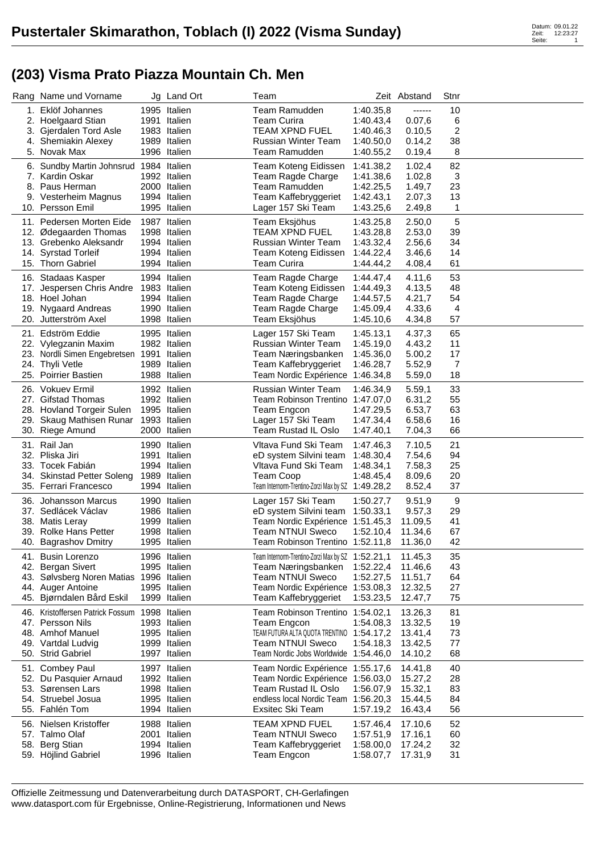## **(203) Visma Prato Piazza Mountain Ch. Men**

|     | Rang Name und Vorname                               | Jg Land Ort                  | Team                                                                  |                        | Zeit Abstand      | Stnr     |  |
|-----|-----------------------------------------------------|------------------------------|-----------------------------------------------------------------------|------------------------|-------------------|----------|--|
|     | 1. Eklöf Johannes                                   | 1995 Italien                 | <b>Team Ramudden</b>                                                  | 1:40.35,8              | ------            | 10       |  |
|     | 2. Hoelgaard Stian                                  | 1991 Italien                 | <b>Team Curira</b>                                                    | 1:40.43,4              | 0.07,6            | 6        |  |
|     | 3. Gjerdalen Tord Asle                              | 1983 Italien                 | <b>TEAM XPND FUEL</b>                                                 | 1:40.46,3              | 0.10,5            | 2        |  |
|     | 4. Shemiakin Alexey                                 | 1989 Italien                 | <b>Russian Winter Team</b>                                            | 1:40.50,0              | 0.14,2            | 38       |  |
|     | 5. Novak Max                                        | 1996 Italien                 | Team Ramudden                                                         | 1:40.55,2              | 0.19,4            | 8        |  |
|     | 6. Sundby Martin Johnsrud 1984 Italien              |                              | Team Koteng Eidissen                                                  | 1:41.38,2              | 1.02,4            | 82       |  |
|     | 7. Kardin Oskar                                     | 1992 Italien                 | Team Ragde Charge                                                     | 1:41.38,6              | 1.02,8            | 3        |  |
|     | 8. Paus Herman<br>9. Vesterheim Magnus              | 2000 Italien<br>1994 Italien | Team Ramudden<br>Team Kaffebryggeriet                                 | 1:42.25,5<br>1:42.43,1 | 1.49,7<br>2.07,3  | 23<br>13 |  |
|     | 10. Persson Emil                                    | 1995 Italien                 | Lager 157 Ski Team                                                    | 1:43.25,6              | 2.49,8            | 1        |  |
|     | 11. Pedersen Morten Eide                            | 1987 Italien                 |                                                                       | 1:43.25,8              |                   | 5        |  |
|     | 12. Ødegaarden Thomas                               | 1998 Italien                 | Team Eksjöhus<br><b>TEAM XPND FUEL</b>                                | 1:43.28,8              | 2.50,0<br>2.53,0  | 39       |  |
|     | 13. Grebenko Aleksandr                              | 1994 Italien                 | Russian Winter Team                                                   | 1:43.32,4              | 2.56,6            | 34       |  |
|     | 14. Syrstad Torleif                                 | 1994 Italien                 | Team Koteng Eidissen                                                  | 1:44.22,4              | 3.46,6            | 14       |  |
|     | 15. Thorn Gabriel                                   | 1994 Italien                 | <b>Team Curira</b>                                                    | 1:44.44,2              | 4.08,4            | 61       |  |
|     | 16. Stadaas Kasper                                  | 1994 Italien                 | Team Ragde Charge                                                     | 1:44.47,4              | 4.11,6            | 53       |  |
|     | 17. Jespersen Chris Andre                           | 1983 Italien                 | Team Koteng Eidissen                                                  | 1:44.49,3              | 4.13,5            | 48       |  |
|     | 18. Hoel Johan                                      | 1994 Italien                 | Team Ragde Charge                                                     | 1:44.57,5              | 4.21,7            | 54       |  |
|     | 19. Nygaard Andreas                                 | 1990 Italien                 | Team Ragde Charge                                                     | 1:45.09,4              | 4.33,6            | 4        |  |
|     | 20. Jutterström Axel                                | 1998 Italien                 | Team Eksjöhus                                                         | 1:45.10,6              | 4.34,8            | 57       |  |
|     | 21. Edström Eddie                                   | 1995 Italien                 | Lager 157 Ski Team                                                    | 1:45.13,1              | 4.37,3            | 65       |  |
|     | 22. Vylegzanin Maxim                                | 1982 Italien                 | <b>Russian Winter Team</b>                                            | 1:45.19,0              | 4.43,2            | 11       |  |
|     | 23. Nordli Simen Engebretsen                        | 1991 Italien                 | Team Næringsbanken                                                    | 1:45.36,0              | 5.00,2            | 17       |  |
|     | 24. Thyli Vetle                                     | 1989 Italien                 | Team Kaffebryggeriet                                                  | 1:46.28,7              | 5.52,9            | 7        |  |
|     | 25. Poirrier Bastien                                | 1988 Italien                 | Team Nordic Expérience                                                | 1:46.34,8              | 5.59,0            | 18       |  |
|     | 26. Vokuev Ermil                                    | 1992 Italien                 | <b>Russian Winter Team</b>                                            | 1:46.34,9              | 5.59,1            | 33       |  |
|     | 27. Gifstad Thomas                                  | 1992 Italien                 | Team Robinson Trentino 1:47.07,0                                      |                        | 6.31,2            | 55       |  |
|     | 28. Hovland Torgeir Sulen                           | 1995 Italien                 | Team Engcon                                                           | 1:47.29,5              | 6.53,7            | 63       |  |
|     | 29. Skaug Mathisen Runar                            | 1993 Italien                 | Lager 157 Ski Team                                                    | 1:47.34,4              | 6.58,6            | 16       |  |
|     | 30. Riege Amund                                     | 2000 Italien                 | Team Rustad IL Oslo                                                   | 1:47.40,1              | 7.04,3            | 66       |  |
|     | 31. Rail Jan                                        | 1990 Italien                 | Vltava Fund Ski Team                                                  | 1:47.46,3              | 7.10,5            | 21       |  |
|     | 32. Pliska Jiri                                     | 1991 Italien                 | eD system Silvini team                                                | 1:48.30,4              | 7.54,6            | 94       |  |
|     | 33. Tocek Fabián                                    | 1994 Italien                 | Vltava Fund Ski Team                                                  | 1:48.34,1              | 7.58,3            | 25       |  |
|     | 34. Skinstad Petter Soleng<br>35. Ferrari Francesco | 1989 Italien<br>1994 Italien | <b>Team Coop</b><br>Team Internorm-Trentino-Zorzi Max by SZ 1:49.28,2 | 1:48.45,4              | 8.09,6            | 20<br>37 |  |
|     |                                                     |                              |                                                                       |                        | 8.52,4            |          |  |
|     | 36. Johansson Marcus                                | 1990 Italien                 | Lager 157 Ski Team                                                    | 1:50.27,7              | 9.51,9            | 9        |  |
|     | 37. Sedlácek Václav<br>38. Matis Leray              | 1986 Italien<br>1999 Italien | eD system Silvini team<br>Team Nordic Expérience 1:51.45,3            | 1:50.33,1              | 9.57,3<br>11.09,5 | 29<br>41 |  |
|     | 39. Rolke Hans Petter                               | 1998 Italien                 | <b>Team NTNUI Sweco</b>                                               | 1:52.10,4              | 11.34,6           | 67       |  |
|     | 40. Bagrashov Dmitry                                | 1995 Italien                 | Team Robinson Trentino 1:52.11,8                                      |                        | 11.36,0           | 42       |  |
|     | 41. Busin Lorenzo                                   | 1996 Italien                 | Team Internorm-Trentino-Zorzi Max by SZ 1:52.21,1                     |                        | 11.45,3           | 35       |  |
|     | 42. Bergan Sivert                                   | 1995 Italien                 | Team Næringsbanken                                                    | 1:52.22,4              | 11.46,6           | 43       |  |
| 43. | Sølvsberg Noren Matias                              | 1996 Italien                 | <b>Team NTNUI Sweco</b>                                               | 1:52.27,5              | 11.51,7           | 64       |  |
|     | 44. Auger Antoine                                   | 1995 Italien                 | Team Nordic Expérience                                                | 1:53.08,3              | 12.32,5           | 27       |  |
|     | 45. Bjørndalen Bård Eskil                           | 1999 Italien                 | Team Kaffebryggeriet                                                  | 1:53.23,5              | 12.47,7           | 75       |  |
|     | 46. Kristoffersen Patrick Fossum                    | 1998 Italien                 | <b>Team Robinson Trentino</b>                                         | 1:54.02,1              | 13.26,3           | 81       |  |
|     | 47. Persson Nils                                    | 1993 Italien                 | Team Engcon                                                           | 1:54.08,3              | 13.32,5           | 19       |  |
|     | 48. Amhof Manuel                                    | 1995 Italien                 | TEAM FUTURA ALTA QUOTA TRENTINO                                       | 1:54.17,2              | 13.41,4           | 73       |  |
|     | 49. Vartdal Ludvig                                  | 1999 Italien                 | <b>Team NTNUI Sweco</b>                                               | 1:54.18,3              | 13.42,5           | 77       |  |
|     | 50. Strid Gabriel                                   | 1997 Italien                 | Team Nordic Jobs Worldwide 1:54.46,0                                  |                        | 14.10,2           | 68       |  |
|     | 51. Combey Paul                                     | 1997 Italien                 | Team Nordic Expérience                                                | 1:55.17,6              | 14.41,8           | 40       |  |
|     | 52. Du Pasquier Arnaud                              | 1992 Italien                 | Team Nordic Expérience                                                | 1:56.03,0              | 15.27,2           | 28       |  |
|     | 53. Sørensen Lars                                   | 1998 Italien                 | Team Rustad IL Oslo                                                   | 1:56.07,9              | 15.32,1           | 83       |  |
|     | 54. Struebel Josua                                  | 1995 Italien                 | endless local Nordic Team 1:56.20,3                                   |                        | 15.44,5           | 84       |  |
|     | 55. Fahlén Tom                                      | 1994 Italien                 | Exsitec Ski Team                                                      | 1:57.19,2              | 16.43,4           | 56       |  |
|     | 56. Nielsen Kristoffer                              | 1988 Italien                 | <b>TEAM XPND FUEL</b>                                                 | 1:57.46,4              | 17.10,6           | 52       |  |
|     | 57. Talmo Olaf                                      | 2001 Italien                 | <b>Team NTNUI Sweco</b>                                               | 1:57.51,9              | 17.16,1           | 60       |  |
|     | 58. Berg Stian                                      | 1994 Italien                 | Team Kaffebryggeriet                                                  | 1:58.00,0              | 17.24,2           | 32       |  |
|     | 59. Höjlind Gabriel                                 | 1996 Italien                 | Team Engcon                                                           | 1:58.07,7              | 17.31,9           | 31       |  |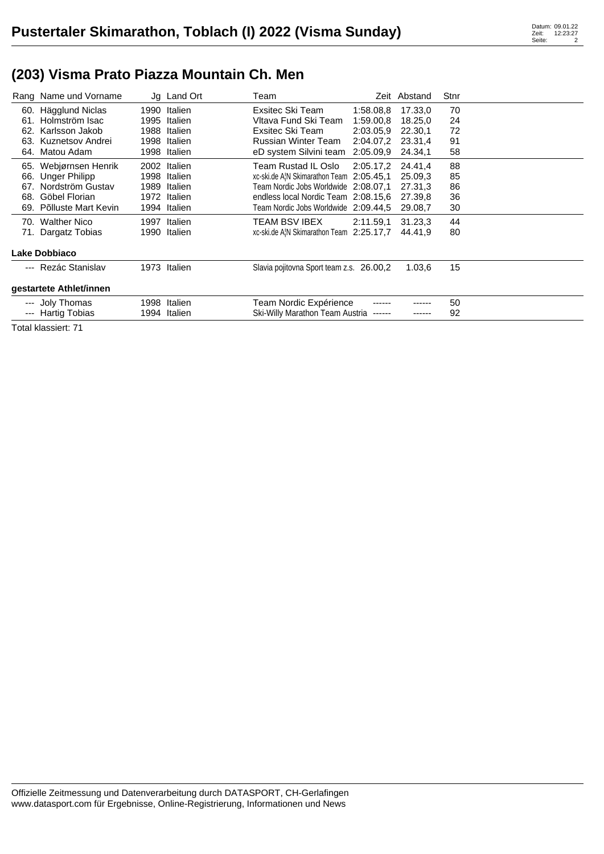## **(203) Visma Prato Piazza Mountain Ch. Men**

|                         | Rang Name und Vorname   |      | Jg Land Ort  | Team                                     |           | Zeit Abstand | Stnr |  |
|-------------------------|-------------------------|------|--------------|------------------------------------------|-----------|--------------|------|--|
|                         | 60. Hägglund Niclas     | 1990 | Italien      | Exsitec Ski Team                         | 1:58.08.8 | 17.33,0      | 70   |  |
| 61.                     | Holmström Isac          | 1995 | Italien      | Vltava Fund Ski Team                     | 1:59.00.8 | 18.25,0      | 24   |  |
| 62.                     | Karlsson Jakob          | 1988 | Italien      | Exsitec Ski Team                         | 2:03.05,9 | 22.30,1      | 72   |  |
| 63.                     | Kuznetsov Andrei        | 1998 | Italien      | Russian Winter Team                      | 2:04.07.2 | 23.31,4      | 91   |  |
| 64.                     | Matou Adam              | 1998 | Italien      | eD system Silvini team                   | 2:05.09,9 | 24.34.1      | 58   |  |
| 65.                     | Webjørnsen Henrik       | 2002 | Italien      | Team Rustad IL Oslo                      | 2:05.17.2 | 24.41.4      | 88   |  |
| 66.                     | <b>Unger Philipp</b>    | 1998 | Italien      | xc-ski.de AIN Skimarathon Team 2:05.45,1 |           | 25,09.3      | 85   |  |
| 67.                     | Nordström Gustav        | 1989 | Italien      | Team Nordic Jobs Worldwide 2:08.07.1     |           | 27.31.3      | 86   |  |
| 68.                     | Göbel Florian           | 1972 | Italien      | endless local Nordic Team 2:08.15,6      |           | 27.39.8      | 36   |  |
|                         | 69. Põlluste Mart Kevin | 1994 | Italien      | Team Nordic Jobs Worldwide 2:09.44.5     |           | 29.08,7      | 30   |  |
|                         | 70. Walther Nico        | 1997 | Italien      | TEAM BSV IBEX                            | 2:11.59.1 | 31.23,3      | 44   |  |
|                         | 71. Dargatz Tobias      | 1990 | Italien      | xc-ski.de AIN Skimarathon Team 2:25.17,7 |           | 44.41.9      | 80   |  |
| Lake Dobbiaco           |                         |      |              |                                          |           |              |      |  |
|                         | --- Rezác Stanislav     |      | 1973 Italien | Slavia pojitovna Sport team z.s. 26.00,2 |           | 1.03,6       | 15   |  |
| gestartete Athlet/innen |                         |      |              |                                          |           |              |      |  |
|                         | --- Joly Thomas         | 1998 | Italien      | Team Nordic Expérience                   |           |              | 50   |  |
|                         | --- Hartig Tobias       | 1994 | Italien      | Ski-Willy Marathon Team Austria          | ------    |              | 92   |  |
|                         |                         |      |              |                                          |           |              |      |  |

Total klassiert: 71